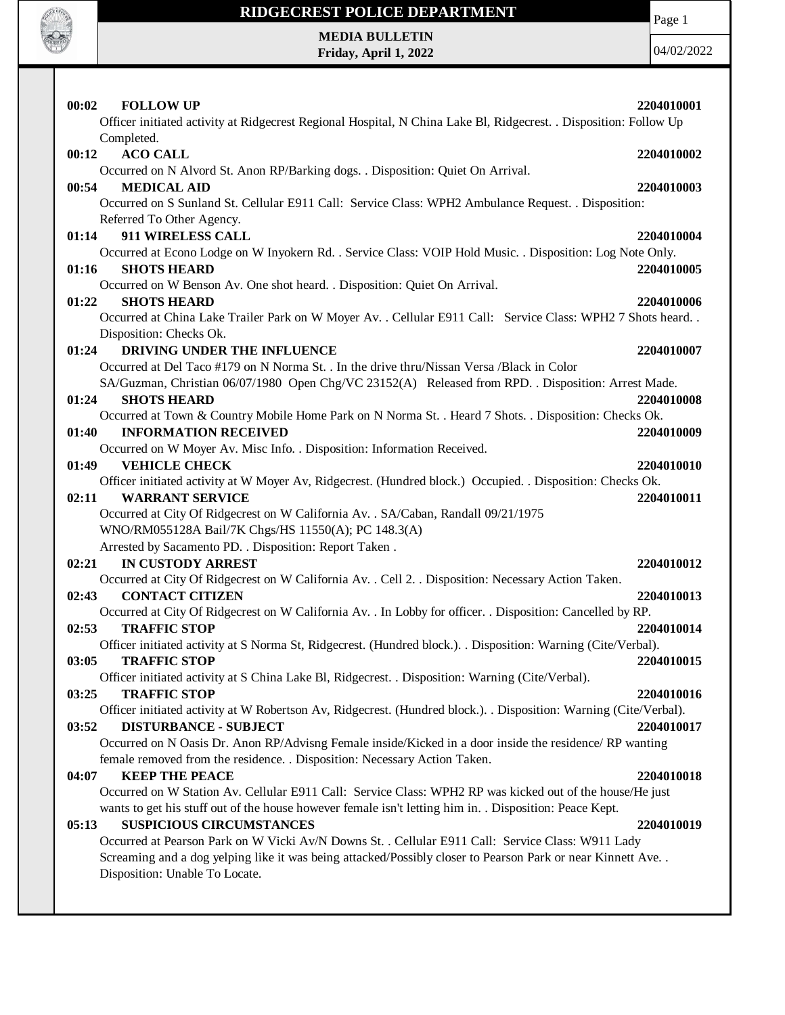

## **RIDGECREST POLICE DEPARTMENT MEDIA BULLETIN**

**Friday, April 1, 2022**

Page 1

| 00:02<br><b>FOLLOW UP</b>                                                                                                                           | 2204010001 |
|-----------------------------------------------------------------------------------------------------------------------------------------------------|------------|
| Officer initiated activity at Ridgecrest Regional Hospital, N China Lake Bl, Ridgecrest. . Disposition: Follow Up                                   |            |
| Completed.<br><b>ACO CALL</b><br>00:12                                                                                                              | 2204010002 |
| Occurred on N Alvord St. Anon RP/Barking dogs. . Disposition: Quiet On Arrival.                                                                     |            |
| 00:54<br><b>MEDICAL AID</b>                                                                                                                         | 2204010003 |
| Occurred on S Sunland St. Cellular E911 Call: Service Class: WPH2 Ambulance Request. . Disposition:                                                 |            |
| Referred To Other Agency.                                                                                                                           |            |
| 911 WIRELESS CALL<br>01:14                                                                                                                          | 2204010004 |
| Occurred at Econo Lodge on W Inyokern Rd. . Service Class: VOIP Hold Music. . Disposition: Log Note Only.                                           |            |
| 01:16<br><b>SHOTS HEARD</b>                                                                                                                         | 2204010005 |
| Occurred on W Benson Av. One shot heard. . Disposition: Quiet On Arrival.                                                                           |            |
| 01:22<br><b>SHOTS HEARD</b><br>Occurred at China Lake Trailer Park on W Moyer Av. . Cellular E911 Call: Service Class: WPH2 7 Shots heard. .        | 2204010006 |
| Disposition: Checks Ok.                                                                                                                             |            |
| DRIVING UNDER THE INFLUENCE<br>01:24                                                                                                                | 2204010007 |
| Occurred at Del Taco #179 on N Norma St. . In the drive thru/Nissan Versa /Black in Color                                                           |            |
| SA/Guzman, Christian 06/07/1980 Open Chg/VC 23152(A) Released from RPD. . Disposition: Arrest Made.                                                 |            |
| 01:24<br><b>SHOTS HEARD</b>                                                                                                                         | 2204010008 |
| Occurred at Town & Country Mobile Home Park on N Norma St. . Heard 7 Shots. . Disposition: Checks Ok.                                               |            |
| <b>INFORMATION RECEIVED</b><br>01:40                                                                                                                | 2204010009 |
| Occurred on W Moyer Av. Misc Info. . Disposition: Information Received.                                                                             |            |
| 01:49<br><b>VEHICLE CHECK</b>                                                                                                                       | 2204010010 |
| Officer initiated activity at W Moyer Av, Ridgecrest. (Hundred block.) Occupied. . Disposition: Checks Ok.<br><b>WARRANT SERVICE</b><br>02:11       | 2204010011 |
| Occurred at City Of Ridgecrest on W California Av. . SA/Caban, Randall 09/21/1975                                                                   |            |
| WNO/RM055128A Bail/7K Chgs/HS 11550(A); PC 148.3(A)                                                                                                 |            |
| Arrested by Sacamento PD. . Disposition: Report Taken.                                                                                              |            |
| <b>IN CUSTODY ARREST</b><br>02:21                                                                                                                   | 2204010012 |
| Occurred at City Of Ridgecrest on W California Av. . Cell 2. . Disposition: Necessary Action Taken.                                                 |            |
| <b>CONTACT CITIZEN</b><br>02:43                                                                                                                     | 2204010013 |
| Occurred at City Of Ridgecrest on W California Av. . In Lobby for officer. . Disposition: Cancelled by RP.                                          |            |
| <b>TRAFFIC STOP</b><br>02:53<br>Officer initiated activity at S Norma St, Ridgecrest. (Hundred block.). Disposition: Warning (Cite/Verbal).         | 2204010014 |
| 03:05<br><b>TRAFFIC STOP</b>                                                                                                                        | 2204010015 |
| Officer initiated activity at S China Lake Bl, Ridgecrest. . Disposition: Warning (Cite/Verbal).                                                    |            |
| <b>TRAFFIC STOP</b><br>03:25                                                                                                                        | 2204010016 |
| Officer initiated activity at W Robertson Av, Ridgecrest. (Hundred block.). . Disposition: Warning (Cite/Verbal).                                   |            |
| <b>DISTURBANCE - SUBJECT</b><br>03:52                                                                                                               | 2204010017 |
| Occurred on N Oasis Dr. Anon RP/Advisng Female inside/Kicked in a door inside the residence/ RP wanting                                             |            |
| female removed from the residence. . Disposition: Necessary Action Taken.                                                                           |            |
| <b>KEEP THE PEACE</b><br>04:07                                                                                                                      | 2204010018 |
| Occurred on W Station Av. Cellular E911 Call: Service Class: WPH2 RP was kicked out of the house/He just                                            |            |
| wants to get his stuff out of the house however female isn't letting him in. . Disposition: Peace Kept.<br><b>SUSPICIOUS CIRCUMSTANCES</b><br>05:13 | 2204010019 |
| Occurred at Pearson Park on W Vicki Av/N Downs St. . Cellular E911 Call: Service Class: W911 Lady                                                   |            |
| Screaming and a dog yelping like it was being attacked/Possibly closer to Pearson Park or near Kinnett Ave. .                                       |            |
| Disposition: Unable To Locate.                                                                                                                      |            |
|                                                                                                                                                     |            |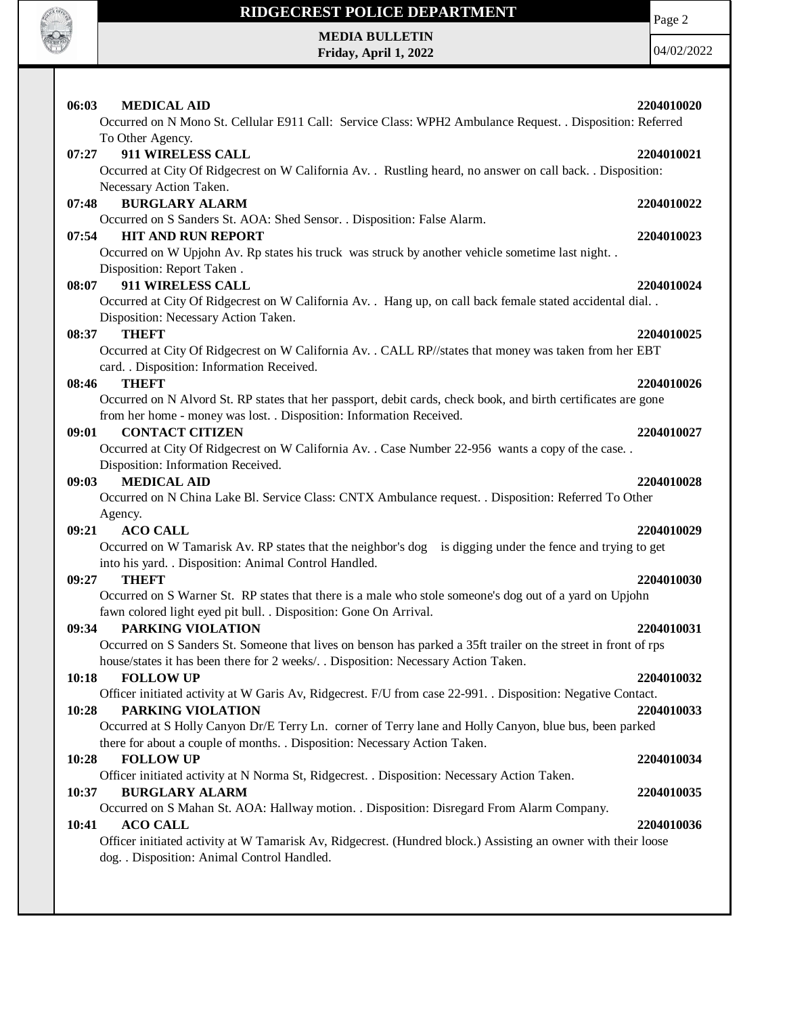

## **RIDGECREST POLICE DEPARTMENT MEDIA BULLETIN**

**Friday, April 1, 2022**

Page 2

| 06:03<br><b>MEDICAL AID</b>                                                                                                                                  | 2204010020 |
|--------------------------------------------------------------------------------------------------------------------------------------------------------------|------------|
| Occurred on N Mono St. Cellular E911 Call: Service Class: WPH2 Ambulance Request. . Disposition: Referred                                                    |            |
| To Other Agency.                                                                                                                                             |            |
| 911 WIRELESS CALL<br>07:27                                                                                                                                   | 2204010021 |
| Occurred at City Of Ridgecrest on W California Av. . Rustling heard, no answer on call back. . Disposition:                                                  |            |
| Necessary Action Taken.                                                                                                                                      |            |
| 07:48<br><b>BURGLARY ALARM</b>                                                                                                                               | 2204010022 |
| Occurred on S Sanders St. AOA: Shed Sensor. . Disposition: False Alarm.                                                                                      |            |
| <b>HIT AND RUN REPORT</b><br>07:54                                                                                                                           | 2204010023 |
| Occurred on W Upjohn Av. Rp states his truck was struck by another vehicle sometime last night. .<br>Disposition: Report Taken.                              |            |
| 911 WIRELESS CALL<br>08:07                                                                                                                                   | 2204010024 |
| Occurred at City Of Ridgecrest on W California Av. . Hang up, on call back female stated accidental dial. .                                                  |            |
| Disposition: Necessary Action Taken.                                                                                                                         |            |
| <b>THEFT</b><br>08:37                                                                                                                                        | 2204010025 |
| Occurred at City Of Ridgecrest on W California Av. . CALL RP//states that money was taken from her EBT                                                       |            |
| card. . Disposition: Information Received.                                                                                                                   |            |
| 08:46<br><b>THEFT</b>                                                                                                                                        | 2204010026 |
| Occurred on N Alvord St. RP states that her passport, debit cards, check book, and birth certificates are gone                                               |            |
| from her home - money was lost. . Disposition: Information Received.                                                                                         |            |
| 09:01<br><b>CONTACT CITIZEN</b>                                                                                                                              | 2204010027 |
| Occurred at City Of Ridgecrest on W California Av. . Case Number 22-956 wants a copy of the case. .                                                          |            |
| Disposition: Information Received.                                                                                                                           |            |
| <b>MEDICAL AID</b><br>09:03                                                                                                                                  | 2204010028 |
| Occurred on N China Lake Bl. Service Class: CNTX Ambulance request. . Disposition: Referred To Other                                                         |            |
| Agency.                                                                                                                                                      |            |
| 09:21<br><b>ACO CALL</b>                                                                                                                                     | 2204010029 |
| Occurred on W Tamarisk Av. RP states that the neighbor's dog is digging under the fence and trying to get                                                    |            |
| into his yard. . Disposition: Animal Control Handled.                                                                                                        |            |
| 09:27<br><b>THEFT</b>                                                                                                                                        | 2204010030 |
| Occurred on S Warner St. RP states that there is a male who stole someone's dog out of a yard on Upjohn                                                      |            |
| fawn colored light eyed pit bull. . Disposition: Gone On Arrival.<br>PARKING VIOLATION                                                                       |            |
| 09:34<br>Occurred on S Sanders St. Someone that lives on benson has parked a 35ft trailer on the street in front of rps                                      | 2204010031 |
| house/states it has been there for 2 weeks/. . Disposition: Necessary Action Taken.                                                                          |            |
| <b>FOLLOW UP</b><br>10:18                                                                                                                                    | 2204010032 |
| Officer initiated activity at W Garis Av, Ridgecrest. F/U from case 22-991. . Disposition: Negative Contact.                                                 |            |
| 10:28<br>PARKING VIOLATION                                                                                                                                   | 2204010033 |
| Occurred at S Holly Canyon Dr/E Terry Ln. corner of Terry lane and Holly Canyon, blue bus, been parked                                                       |            |
| there for about a couple of months. . Disposition: Necessary Action Taken.                                                                                   |            |
| 10:28<br><b>FOLLOW UP</b>                                                                                                                                    | 2204010034 |
| Officer initiated activity at N Norma St, Ridgecrest. . Disposition: Necessary Action Taken.                                                                 |            |
| <b>BURGLARY ALARM</b><br>10:37                                                                                                                               | 2204010035 |
| Occurred on S Mahan St. AOA: Hallway motion. . Disposition: Disregard From Alarm Company.                                                                    |            |
| <b>ACO CALL</b><br>10:41                                                                                                                                     | 2204010036 |
| Officer initiated activity at W Tamarisk Av, Ridgecrest. (Hundred block.) Assisting an owner with their loose<br>dog. . Disposition: Animal Control Handled. |            |
|                                                                                                                                                              |            |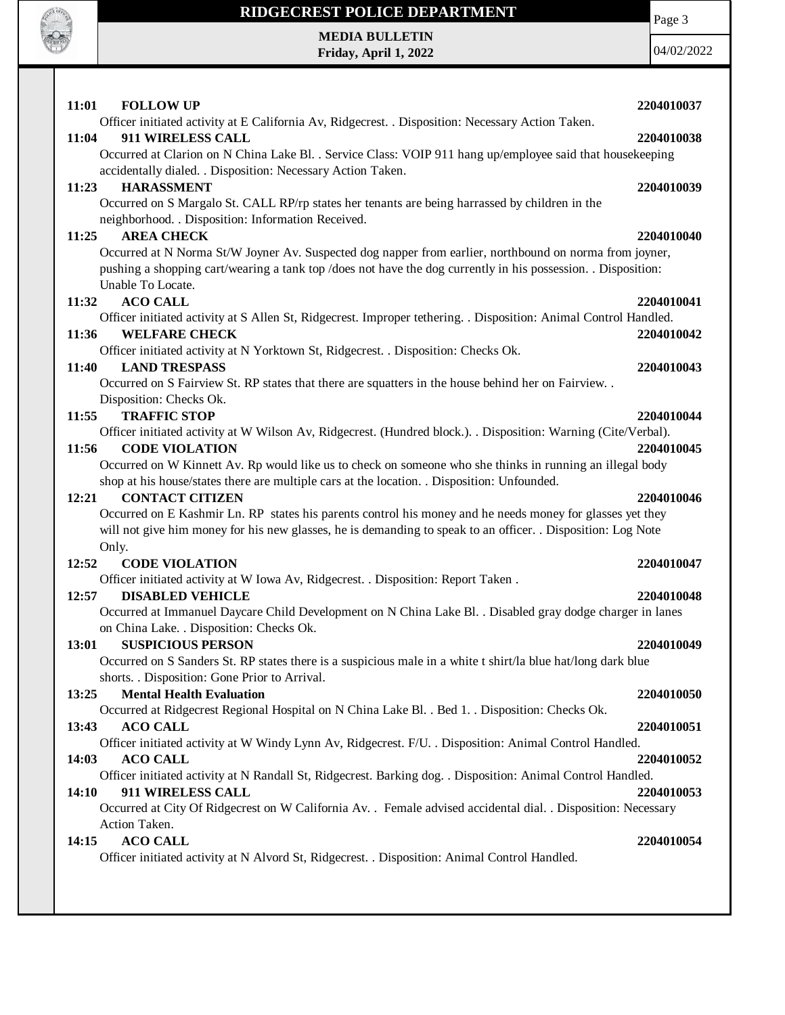

Page 3

**MEDIA BULLETIN Friday, April 1, 2022**

| 11:01<br><b>FOLLOW UP</b>                                                                                        | 2204010037 |
|------------------------------------------------------------------------------------------------------------------|------------|
| Officer initiated activity at E California Av, Ridgecrest. . Disposition: Necessary Action Taken.                |            |
| 911 WIRELESS CALL<br>11:04                                                                                       | 2204010038 |
| Occurred at Clarion on N China Lake Bl. . Service Class: VOIP 911 hang up/employee said that housekeeping        |            |
| accidentally dialed. . Disposition: Necessary Action Taken.                                                      |            |
| <b>HARASSMENT</b><br>11:23                                                                                       | 2204010039 |
| Occurred on S Margalo St. CALL RP/rp states her tenants are being harrassed by children in the                   |            |
| neighborhood. . Disposition: Information Received.                                                               |            |
| <b>AREA CHECK</b><br>11:25                                                                                       | 2204010040 |
| Occurred at N Norma St/W Joyner Av. Suspected dog napper from earlier, northbound on norma from joyner,          |            |
| pushing a shopping cart/wearing a tank top/does not have the dog currently in his possession. Disposition:       |            |
| Unable To Locate.                                                                                                |            |
| <b>ACO CALL</b><br>11:32                                                                                         | 2204010041 |
| Officer initiated activity at S Allen St, Ridgecrest. Improper tethering. . Disposition: Animal Control Handled. |            |
| <b>WELFARE CHECK</b><br>11:36                                                                                    | 2204010042 |
| Officer initiated activity at N Yorktown St, Ridgecrest. . Disposition: Checks Ok.                               |            |
| <b>LAND TRESPASS</b><br>11:40                                                                                    | 2204010043 |
| Occurred on S Fairview St. RP states that there are squatters in the house behind her on Fairview. .             |            |
| Disposition: Checks Ok.                                                                                          |            |
| 11:55<br><b>TRAFFIC STOP</b>                                                                                     | 2204010044 |
| Officer initiated activity at W Wilson Av, Ridgecrest. (Hundred block.). Disposition: Warning (Cite/Verbal).     |            |
| <b>CODE VIOLATION</b><br>11:56                                                                                   | 2204010045 |
| Occurred on W Kinnett Av. Rp would like us to check on someone who she thinks in running an illegal body         |            |
| shop at his house/states there are multiple cars at the location. . Disposition: Unfounded.                      |            |
| <b>CONTACT CITIZEN</b><br>12:21                                                                                  | 2204010046 |
| Occurred on E Kashmir Ln. RP states his parents control his money and he needs money for glasses yet they        |            |
| will not give him money for his new glasses, he is demanding to speak to an officer. . Disposition: Log Note     |            |
| Only.<br>12:52<br><b>CODE VIOLATION</b>                                                                          |            |
| Officer initiated activity at W Iowa Av, Ridgecrest. . Disposition: Report Taken.                                | 2204010047 |
| 12:57<br><b>DISABLED VEHICLE</b>                                                                                 | 2204010048 |
| Occurred at Immanuel Daycare Child Development on N China Lake Bl. . Disabled gray dodge charger in lanes        |            |
| on China Lake. . Disposition: Checks Ok.                                                                         |            |
| <b>SUSPICIOUS PERSON</b><br>13:01                                                                                | 2204010049 |
| Occurred on S Sanders St. RP states there is a suspicious male in a white t shirt/la blue hat/long dark blue     |            |
| shorts. . Disposition: Gone Prior to Arrival.                                                                    |            |
| <b>Mental Health Evaluation</b><br>13:25                                                                         | 2204010050 |
| Occurred at Ridgecrest Regional Hospital on N China Lake Bl. . Bed 1. . Disposition: Checks Ok.                  |            |
| 13:43<br><b>ACO CALL</b>                                                                                         | 2204010051 |
| Officer initiated activity at W Windy Lynn Av, Ridgecrest. F/U. . Disposition: Animal Control Handled.           |            |
| 14:03<br><b>ACO CALL</b>                                                                                         | 2204010052 |
| Officer initiated activity at N Randall St, Ridgecrest. Barking dog. . Disposition: Animal Control Handled.      |            |
| 911 WIRELESS CALL<br>14:10                                                                                       | 2204010053 |
| Occurred at City Of Ridgecrest on W California Av. . Female advised accidental dial. . Disposition: Necessary    |            |
| Action Taken.                                                                                                    |            |
| <b>ACO CALL</b><br>14:15                                                                                         | 2204010054 |
| Officer initiated activity at N Alvord St, Ridgecrest. . Disposition: Animal Control Handled.                    |            |
|                                                                                                                  |            |
|                                                                                                                  |            |
|                                                                                                                  |            |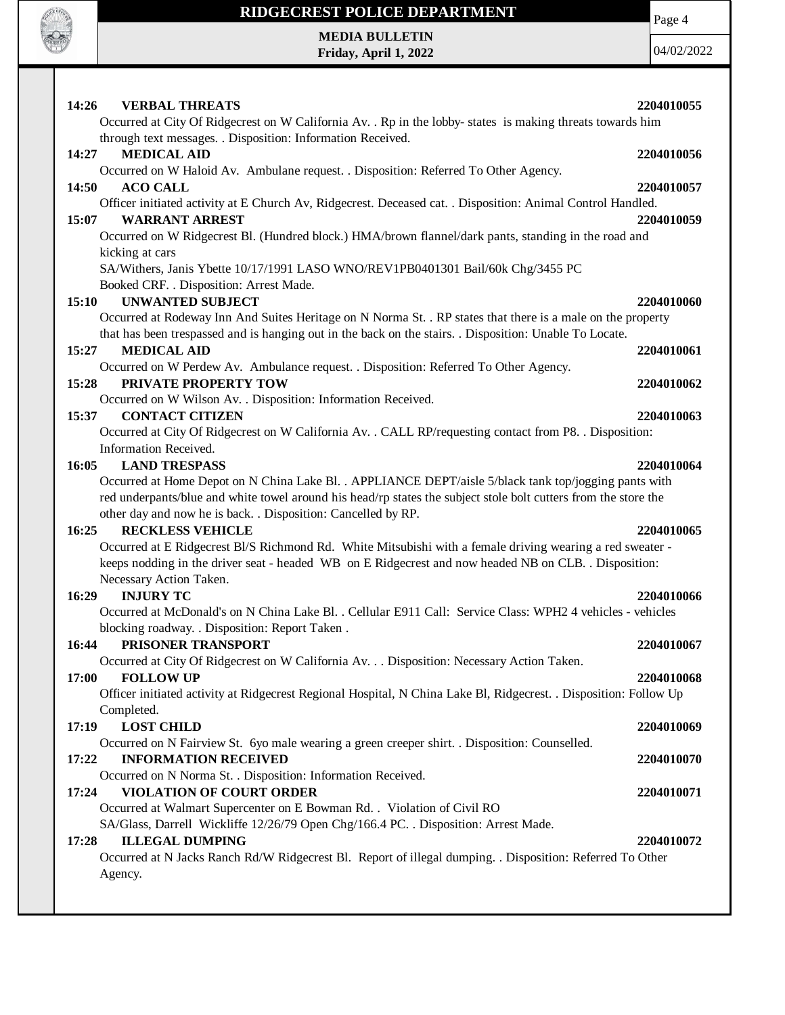

Page 4

**MEDIA BULLETIN Friday, April 1, 2022**

| <b>VERBAL THREATS</b><br>14:26                                                                                       | 2204010055 |
|----------------------------------------------------------------------------------------------------------------------|------------|
| Occurred at City Of Ridgecrest on W California Av. . Rp in the lobby-states is making threats towards him            |            |
| through text messages. . Disposition: Information Received.                                                          |            |
| <b>MEDICAL AID</b><br>14:27                                                                                          | 2204010056 |
| Occurred on W Haloid Av. Ambulane request. . Disposition: Referred To Other Agency.                                  |            |
| 14:50<br><b>ACO CALL</b>                                                                                             | 2204010057 |
| Officer initiated activity at E Church Av, Ridgecrest. Deceased cat. . Disposition: Animal Control Handled.          |            |
| <b>WARRANT ARREST</b><br>15:07                                                                                       | 2204010059 |
| Occurred on W Ridgecrest Bl. (Hundred block.) HMA/brown flannel/dark pants, standing in the road and                 |            |
| kicking at cars                                                                                                      |            |
| SA/Withers, Janis Ybette 10/17/1991 LASO WNO/REV1PB0401301 Bail/60k Chg/3455 PC                                      |            |
| Booked CRF. . Disposition: Arrest Made.                                                                              |            |
| 15:10<br><b>UNWANTED SUBJECT</b>                                                                                     | 2204010060 |
| Occurred at Rodeway Inn And Suites Heritage on N Norma St. . RP states that there is a male on the property          |            |
| that has been trespassed and is hanging out in the back on the stairs. . Disposition: Unable To Locate.              |            |
| <b>MEDICAL AID</b><br>15:27                                                                                          | 2204010061 |
| Occurred on W Perdew Av. Ambulance request. . Disposition: Referred To Other Agency.                                 |            |
| PRIVATE PROPERTY TOW<br>15:28                                                                                        | 2204010062 |
| Occurred on W Wilson Av. . Disposition: Information Received.                                                        |            |
| 15:37<br><b>CONTACT CITIZEN</b>                                                                                      | 2204010063 |
| Occurred at City Of Ridgecrest on W California Av. . CALL RP/requesting contact from P8. . Disposition:              |            |
| Information Received.                                                                                                |            |
| 16:05<br><b>LAND TRESPASS</b>                                                                                        | 2204010064 |
| Occurred at Home Depot on N China Lake Bl. . APPLIANCE DEPT/aisle 5/black tank top/jogging pants with                |            |
| red underpants/blue and white towel around his head/rp states the subject stole bolt cutters from the store the      |            |
|                                                                                                                      |            |
| other day and now he is back. . Disposition: Cancelled by RP.                                                        |            |
| <b>RECKLESS VEHICLE</b><br>16:25                                                                                     | 2204010065 |
| Occurred at E Ridgecrest Bl/S Richmond Rd. White Mitsubishi with a female driving wearing a red sweater -            |            |
| keeps nodding in the driver seat - headed WB on E Ridgecrest and now headed NB on CLB. . Disposition:                |            |
| Necessary Action Taken.                                                                                              |            |
| 16:29<br><b>INJURY TC</b>                                                                                            | 2204010066 |
| Occurred at McDonald's on N China Lake Bl. . Cellular E911 Call: Service Class: WPH2 4 vehicles - vehicles           |            |
| blocking roadway. . Disposition: Report Taken.                                                                       |            |
| 16:44<br>PRISONER TRANSPORT                                                                                          | 2204010067 |
| Occurred at City Of Ridgecrest on W California Av. Disposition: Necessary Action Taken.                              |            |
| <b>FOLLOW UP</b><br>17:00                                                                                            | 2204010068 |
| Officer initiated activity at Ridgecrest Regional Hospital, N China Lake Bl, Ridgecrest. . Disposition: Follow Up    |            |
| Completed.                                                                                                           |            |
| 17:19<br><b>LOST CHILD</b>                                                                                           | 2204010069 |
| Occurred on N Fairview St. 6yo male wearing a green creeper shirt. Disposition: Counselled.                          |            |
| <b>INFORMATION RECEIVED</b><br>17:22                                                                                 | 2204010070 |
| Occurred on N Norma St. . Disposition: Information Received.                                                         |            |
| <b>VIOLATION OF COURT ORDER</b><br>17:24                                                                             | 2204010071 |
| Occurred at Walmart Supercenter on E Bowman Rd. . Violation of Civil RO                                              |            |
| SA/Glass, Darrell Wickliffe 12/26/79 Open Chg/166.4 PC. . Disposition: Arrest Made.                                  |            |
| <b>ILLEGAL DUMPING</b><br>17:28                                                                                      | 2204010072 |
| Occurred at N Jacks Ranch Rd/W Ridgecrest Bl. Report of illegal dumping. . Disposition: Referred To Other<br>Agency. |            |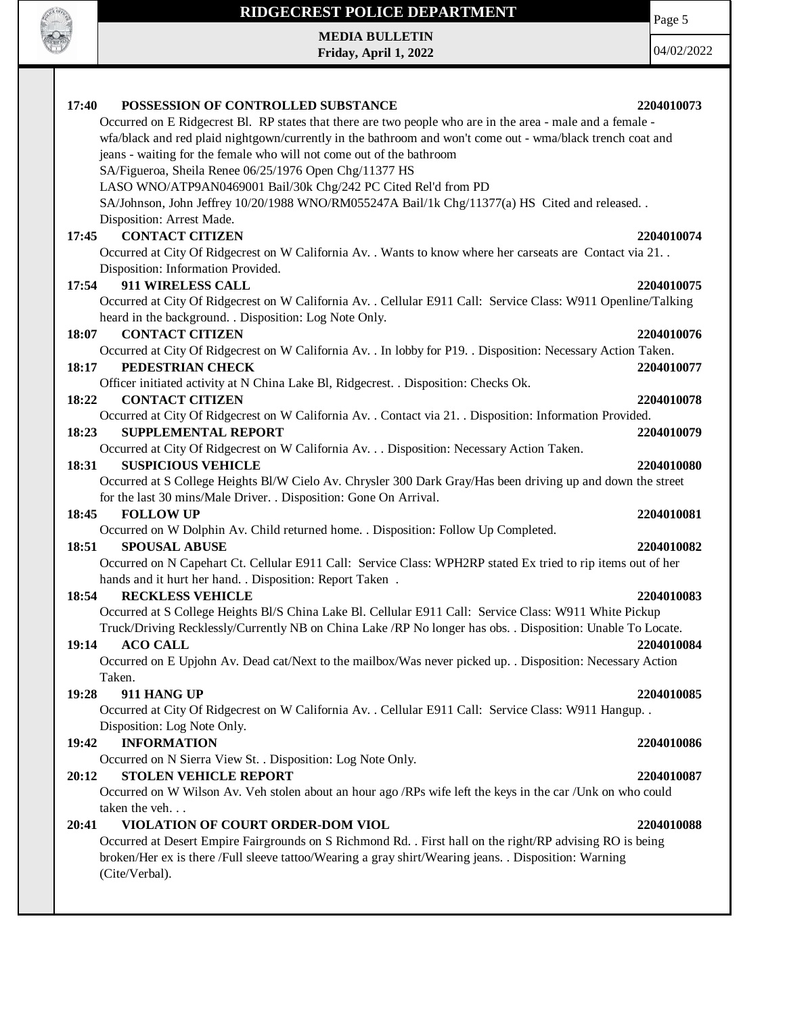

**MEDIA BULLETIN Friday, April 1, 2022** Page 5

| 17:40<br>POSSESSION OF CONTROLLED SUBSTANCE                                                                   | 2204010073 |
|---------------------------------------------------------------------------------------------------------------|------------|
| Occurred on E Ridgecrest Bl. RP states that there are two people who are in the area - male and a female -    |            |
| wfa/black and red plaid nightgown/currently in the bathroom and won't come out - wma/black trench coat and    |            |
| jeans - waiting for the female who will not come out of the bathroom                                          |            |
| SA/Figueroa, Sheila Renee 06/25/1976 Open Chg/11377 HS                                                        |            |
| LASO WNO/ATP9AN0469001 Bail/30k Chg/242 PC Cited Rel'd from PD                                                |            |
| SA/Johnson, John Jeffrey 10/20/1988 WNO/RM055247A Bail/1k Chg/11377(a) HS Cited and released. .               |            |
| Disposition: Arrest Made.                                                                                     |            |
| <b>CONTACT CITIZEN</b><br>17:45                                                                               | 2204010074 |
| Occurred at City Of Ridgecrest on W California Av. . Wants to know where her carseats are Contact via 21. .   |            |
| Disposition: Information Provided.                                                                            |            |
| 911 WIRELESS CALL<br>17:54                                                                                    | 2204010075 |
| Occurred at City Of Ridgecrest on W California Av. . Cellular E911 Call: Service Class: W911 Openline/Talking |            |
| heard in the background. . Disposition: Log Note Only.                                                        |            |
| <b>CONTACT CITIZEN</b><br>18:07                                                                               | 2204010076 |
| Occurred at City Of Ridgecrest on W California Av. . In lobby for P19. . Disposition: Necessary Action Taken. |            |
| 18:17<br>PEDESTRIAN CHECK                                                                                     | 2204010077 |
| Officer initiated activity at N China Lake Bl, Ridgecrest. . Disposition: Checks Ok.                          |            |
| <b>CONTACT CITIZEN</b><br>18:22                                                                               | 2204010078 |
| Occurred at City Of Ridgecrest on W California Av. . Contact via 21. . Disposition: Information Provided.     |            |
| <b>SUPPLEMENTAL REPORT</b><br>18:23                                                                           | 2204010079 |
| Occurred at City Of Ridgecrest on W California Av. Disposition: Necessary Action Taken.                       |            |
| <b>SUSPICIOUS VEHICLE</b><br>18:31                                                                            | 2204010080 |
| Occurred at S College Heights Bl/W Cielo Av. Chrysler 300 Dark Gray/Has been driving up and down the street   |            |
| for the last 30 mins/Male Driver. . Disposition: Gone On Arrival.                                             |            |
| <b>FOLLOW UP</b><br>18:45                                                                                     | 2204010081 |
| Occurred on W Dolphin Av. Child returned home. . Disposition: Follow Up Completed.                            |            |
| 18:51<br><b>SPOUSAL ABUSE</b>                                                                                 | 2204010082 |
| Occurred on N Capehart Ct. Cellular E911 Call: Service Class: WPH2RP stated Ex tried to rip items out of her  |            |
| hands and it hurt her hand. . Disposition: Report Taken.                                                      |            |
| <b>RECKLESS VEHICLE</b><br>18:54                                                                              | 2204010083 |
| Occurred at S College Heights Bl/S China Lake Bl. Cellular E911 Call: Service Class: W911 White Pickup        |            |
| Truck/Driving Recklessly/Currently NB on China Lake /RP No longer has obs. . Disposition: Unable To Locate.   |            |
| <b>ACO CALL</b><br>19:14                                                                                      | 2204010084 |
| Occurred on E Upjohn Av. Dead cat/Next to the mailbox/Was never picked up. . Disposition: Necessary Action    |            |
| Taken.                                                                                                        |            |
| 19:28<br>911 HANG UP                                                                                          | 2204010085 |
| Occurred at City Of Ridgecrest on W California Av. . Cellular E911 Call: Service Class: W911 Hangup. .        |            |
| Disposition: Log Note Only.                                                                                   |            |
| <b>INFORMATION</b><br>19:42                                                                                   | 2204010086 |
| Occurred on N Sierra View St. . Disposition: Log Note Only.                                                   |            |
| <b>STOLEN VEHICLE REPORT</b><br>20:12                                                                         | 2204010087 |
| Occurred on W Wilson Av. Veh stolen about an hour ago /RPs wife left the keys in the car /Unk on who could    |            |
| taken the veh                                                                                                 |            |
| 20:41<br>VIOLATION OF COURT ORDER-DOM VIOL                                                                    | 2204010088 |
| Occurred at Desert Empire Fairgrounds on S Richmond Rd. . First hall on the right/RP advising RO is being     |            |
| broken/Her ex is there /Full sleeve tattoo/Wearing a gray shirt/Wearing jeans. . Disposition: Warning         |            |
| (Cite/Verbal).                                                                                                |            |
|                                                                                                               |            |